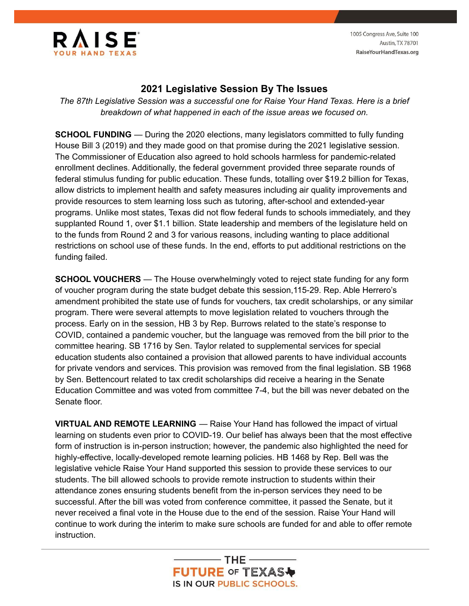

1005 Congress Ave, Suite 100 **Austin, TX 78701** RaiseYourHandTexas.org

## **2021 Legislative Session By The Issues**

*The 87th Legislative Session was a successful one for Raise Your Hand Texas. Here is a brief breakdown of what happened in each of the issue areas we focused on.*

**SCHOOL FUNDING** — During the 2020 elections, many legislators committed to fully funding House Bill 3 (2019) and they made good on that promise during the 2021 legislative session. The Commissioner of Education also agreed to hold schools harmless for pandemic-related enrollment declines. Additionally, the federal government provided three separate rounds of federal stimulus funding for public education. These funds, totalling over \$19.2 billion for Texas, allow districts to implement health and safety measures including air quality improvements and provide resources to stem learning loss such as tutoring, after-school and extended-year programs. Unlike most states, Texas did not flow federal funds to schools immediately, and they supplanted Round 1, over \$1.1 billion. State leadership and members of the legislature held on to the funds from Round 2 and 3 for various reasons, including wanting to place additional restrictions on school use of these funds. In the end, efforts to put additional restrictions on the funding failed.

**SCHOOL VOUCHERS** — The House overwhelmingly voted to reject state funding for any form of voucher program during the state budget debate this session,115-29. Rep. Able Herrero's amendment prohibited the state use of funds for vouchers, tax credit scholarships, or any similar program. There were several attempts to move legislation related to vouchers through the process. Early on in the session, HB 3 by Rep. Burrows related to the state's response to COVID, contained a pandemic voucher, but the language was removed from the bill prior to the committee hearing. SB 1716 by Sen. Taylor related to supplemental services for special education students also contained a provision that allowed parents to have individual accounts for private vendors and services. This provision was removed from the final legislation. SB 1968 by Sen. Bettencourt related to tax credit scholarships did receive a hearing in the Senate Education Committee and was voted from committee 7-4, but the bill was never debated on the Senate floor.

**VIRTUAL AND REMOTE LEARNING** — Raise Your Hand has followed the impact of virtual learning on students even prior to COVID-19. Our belief has always been that the most effective form of instruction is in-person instruction; however, the pandemic also highlighted the need for highly-effective, locally-developed remote learning policies. HB 1468 by Rep. Bell was the legislative vehicle Raise Your Hand supported this session to provide these services to our students. The bill allowed schools to provide remote instruction to students within their attendance zones ensuring students benefit from the in-person services they need to be successful. After the bill was voted from conference committee, it passed the Senate, but it never received a final vote in the House due to the end of the session. Raise Your Hand will continue to work during the interim to make sure schools are funded for and able to offer remote instruction.

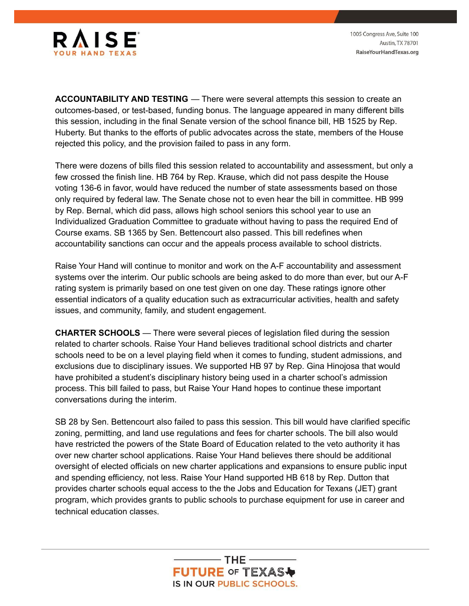

1005 Congress Ave, Suite 100 Austin, TX 78701 RaiseYourHandTexas.org

**ACCOUNTABILITY AND TESTING** — There were several attempts this session to create an outcomes-based, or test-based, funding bonus. The language appeared in many different bills this session, including in the final Senate version of the school finance bill, HB 1525 by Rep. Huberty. But thanks to the efforts of public advocates across the state, members of the House rejected this policy, and the provision failed to pass in any form.

There were dozens of bills filed this session related to accountability and assessment, but only a few crossed the finish line. HB 764 by Rep. Krause, which did not pass despite the House voting 136-6 in favor, would have reduced the number of state assessments based on those only required by federal law. The Senate chose not to even hear the bill in committee. HB 999 by Rep. Bernal, which did pass, allows high school seniors this school year to use an Individualized Graduation Committee to graduate without having to pass the required End of Course exams. SB 1365 by Sen. Bettencourt also passed. This bill redefines when accountability sanctions can occur and the appeals process available to school districts.

Raise Your Hand will continue to monitor and work on the A-F accountability and assessment systems over the interim. Our public schools are being asked to do more than ever, but our A-F rating system is primarily based on one test given on one day. These ratings ignore other essential indicators of a quality education such as extracurricular activities, health and safety issues, and community, family, and student engagement.

**CHARTER SCHOOLS** — There were several pieces of legislation filed during the session related to charter schools. Raise Your Hand believes traditional school districts and charter schools need to be on a level playing field when it comes to funding, student admissions, and exclusions due to disciplinary issues. We supported HB 97 by Rep. Gina Hinojosa that would have prohibited a student's disciplinary history being used in a charter school's admission process. This bill failed to pass, but Raise Your Hand hopes to continue these important conversations during the interim.

SB 28 by Sen. Bettencourt also failed to pass this session. This bill would have clarified specific zoning, permitting, and land use regulations and fees for charter schools. The bill also would have restricted the powers of the State Board of Education related to the veto authority it has over new charter school applications. Raise Your Hand believes there should be additional oversight of elected officials on new charter applications and expansions to ensure public input and spending efficiency, not less. Raise Your Hand supported HB 618 by Rep. Dutton that provides charter schools equal access to the the Jobs and Education for Texans (JET) grant program, which provides grants to public schools to purchase equipment for use in career and technical education classes.